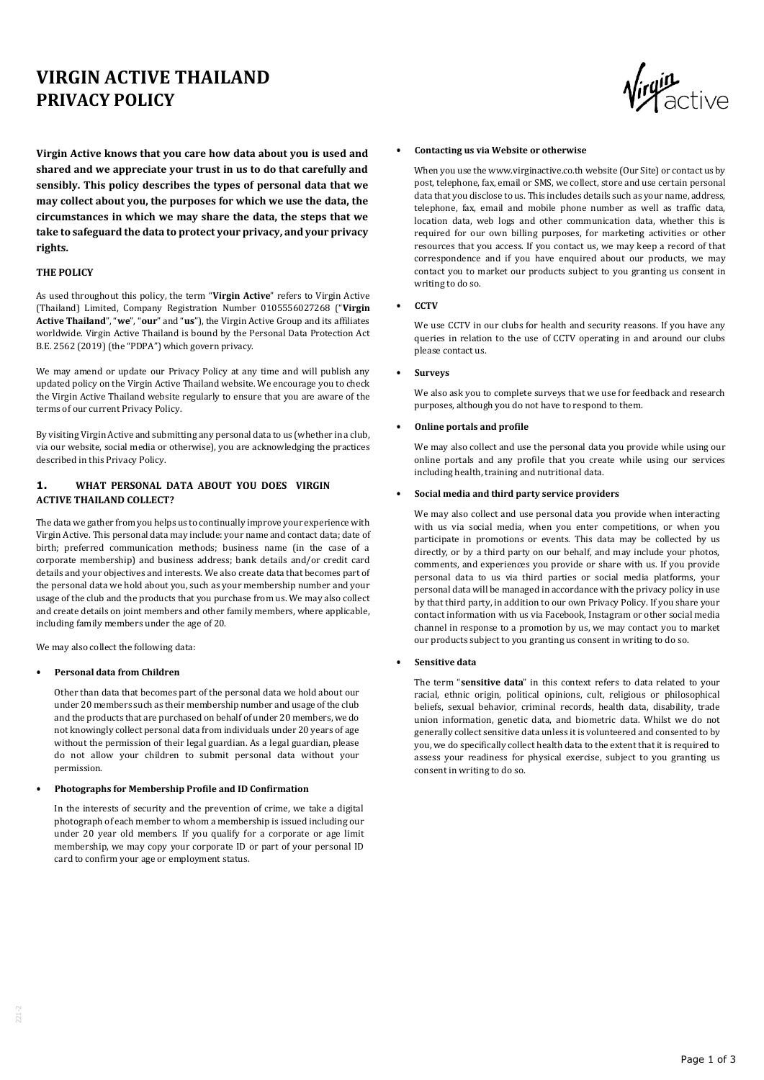# **VIRGIN ACTIVE THAILAND PRIVACY POLICY**

**Virgin Active knows that you care how data about you is used and shared and we appreciate your trust in us to do that carefully and sensibly. This policy describes the types of personal data that we may collect about you, the purposes for which we use the data, the circumstances in which we may share the data, the steps that we take to safeguard the data to protect your privacy, and your privacy rights.**

## **THE POLICY**

As used throughout this policy, the term "**Virgin Active**" refers to Virgin Active (Thailand) Limited, Company Registration Number 0105556027268 ("**Virgin Active Thailand**", "**we**", "**our**" and "**us**"), the Virgin Active Group and its affiliates worldwide. Virgin Active Thailand is bound by the Personal Data Protection Act B.E. 2562 (2019) (the "PDPA") which govern privacy.

We may amend or update our Privacy Policy at any time and will publish any updated policy on the Virgin Active Thailand website. We encourage you to check the Virgin Active Thailand website regularly to ensure that you are aware of the terms of our current Privacy Policy.

By visiting Virgin Active and submitting any personal data to us (whether in a club, via our website, social media or otherwise), you are acknowledging the practices described in this Privacy Policy.

# **1. WHAT PERSONAL DATA ABOUT YOU DOES VIRGIN ACTIVE THAILAND COLLECT?**

The data we gather from you helps us to continually improve your experience with Virgin Active. This personal data may include: your name and contact data; date of birth; preferred communication methods; business name (in the case of a corporate membership) and business address; bank details and/or credit card details and your objectives and interests. We also create data that becomes part of the personal data we hold about you, such as your membership number and your usage of the club and the products that you purchase from us. We may also collect and create details on joint members and other family members, where applicable, including family members under the age of 20.

We may also collect the following data:

#### • **Personal data from Children**

Other than data that becomes part of the personal data we hold about our under 20 members such as their membership number and usage of the club and the products that are purchased on behalf of under 20 members, we do not knowingly collect personal data from individuals under 20 years of age without the permission of their legal guardian. As a legal guardian, please do not allow your children to submit personal data without your permission.

### • **Photographs for Membership Profile and ID Confirmation**

In the interests of security and the prevention of crime, we take a digital photograph of each member to whom a membership is issued including our under 20 year old members. If you qualify for a corporate or age limit membership, we may copy your corporate ID or part of your personal ID card to confirm your age or employment status.



#### • **Contacting us via Website or otherwise**

When you use the www.virginactive.co.th website (Our Site) or contact us by post, telephone, fax, email or SMS, we collect, store and use certain personal data that you disclose to us. This includes details such as your name, address, telephone, fax, email and mobile phone number as well as traffic data, location data, web logs and other communication data, whether this is required for our own billing purposes, for marketing activities or other resources that you access. If you contact us, we may keep a record of that correspondence and if you have enquired about our products, we may contact you to market our products subject to you granting us consent in writing to do so.

• **CCTV**

We use CCTV in our clubs for health and security reasons. If you have any queries in relation to the use of CCTV operating in and around our clubs please contact us.

• **Surveys**

We also ask you to complete surveys that we use for feedback and research purposes, although you do not have to respond to them.

#### • **Online portals and profile**

We may also collect and use the personal data you provide while using our online portals and any profile that you create while using our services including health, training and nutritional data.

#### • **Social media and third party service providers**

We may also collect and use personal data you provide when interacting with us via social media, when you enter competitions, or when you participate in promotions or events. This data may be collected by us directly, or by a third party on our behalf, and may include your photos, comments, and experiences you provide or share with us. If you provide personal data to us via third parties or social media platforms, your personal data will be managed in accordance with the privacy policy in use by that third party, in addition to our own Privacy Policy. If you share your contact information with us via Facebook, Instagram or other social media channel in response to a promotion by us, we may contact you to market our products subject to you granting us consent in writing to do so.

#### • **Sensitive data**

The term "**sensitive data**" in this context refers to data related to your racial, ethnic origin, political opinions, cult, religious or philosophical beliefs, sexual behavior, criminal records, health data, disability, trade union information, genetic data, and biometric data. Whilst we do not generally collect sensitive data unless it is volunteered and consented to by you, we do specifically collect health data to the extent that it is required to assess your readiness for physical exercise, subject to you granting us consent in writing to do so.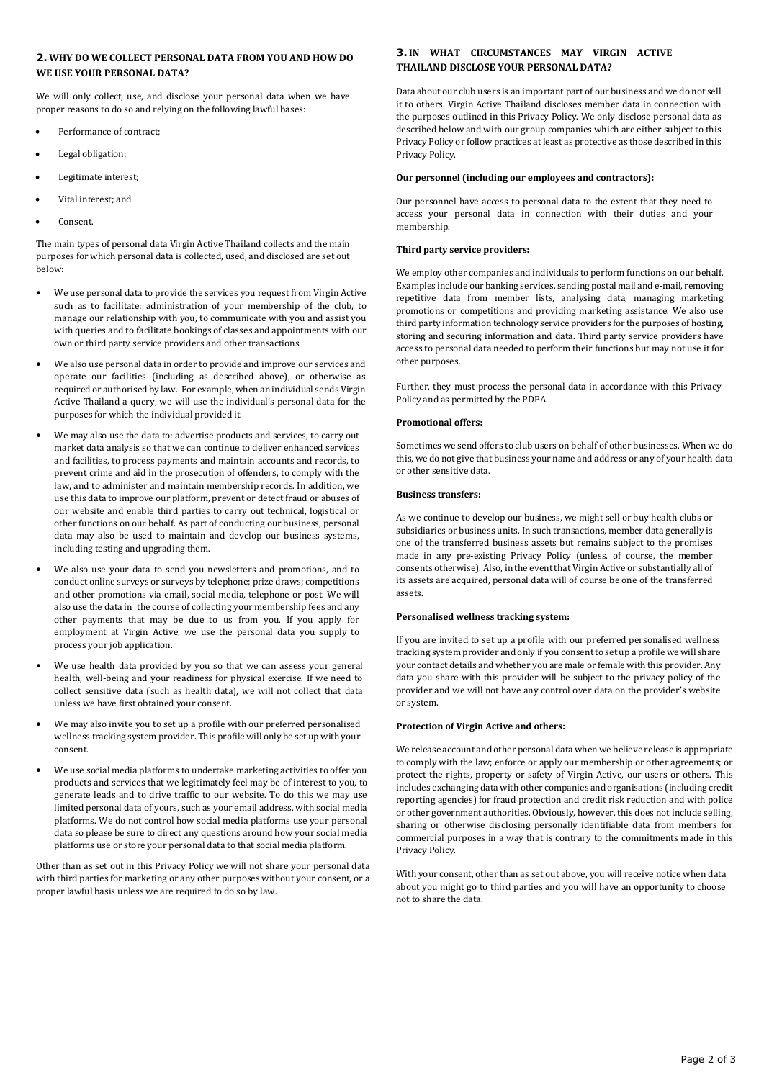# **2. WHY DO WE COLLECT PERSONAL DATA FROM YOU AND HOW DO WE USE YOUR PERSONAL DATA?**

We will only collect, use, and disclose your personal data when we have proper reasons to do so and relying on the following lawful bases:

- Performance of contract;
- Legal obligation;
- Legitimate interest;
- Vital interest; and
- Consent.

The main types of personal data Virgin Active Thailand collects and the main purposes for which personal data is collected, used, and disclosed are set out below:

- We use personal data to provide the services you request from Virgin Active such as to facilitate: administration of your membership of the club, to manage our relationship with you, to communicate with you and assist you with queries and to facilitate bookings of classes and appointments with our own or third party service providers and other transactions.
- We also use personal data in order to provide and improve our services and operate our facilities (including as described above), or otherwise as required or authorised by law. For example, when an individual sends Virgin Active Thailand a query, we will use the individual's personal data for the purposes for which the individual provided it.
- We may also use the data to: advertise products and services, to carry out market data analysis so that we can continue to deliver enhanced services and facilities, to process payments and maintain accounts and records, to prevent crime and aid in the prosecution of offenders, to comply with the law, and to administer and maintain membership records. In addition, we use this data to improve our platform, prevent or detect fraud or abuses of our website and enable third parties to carry out technical, logistical or other functions on our behalf. As part of conducting our business, personal data may also be used to maintain and develop our business systems, including testing and upgrading them.
- We also use your data to send you newsletters and promotions, and to conduct online surveys or surveys by telephone; prize draws; competitions and other promotions via email, social media, telephone or post. We will also use the data in the course of collecting your membership fees and any other payments that may be due to us from you. If you apply for employment at Virgin Active, we use the personal data you supply to process your job application.
- We use health data provided by you so that we can assess your general health, well-being and your readiness for physical exercise. If we need to collect sensitive data (such as health data), we will not collect that data unless we have first obtained your consent.
- We may also invite you to set up a profile with our preferred personalised wellness tracking system provider. This profile will only be set up with your consent.
- We use social media platforms to undertake marketing activities to offer you products and services that we legitimately feel may be of interest to you, to generate leads and to drive traffic to our website. To do this we may use limited personal data of yours, such as your email address, with social media platforms. We do not control how social media platforms use your personal data so please be sure to direct any questions around how your social media platforms use or store your personal data to that social media platform.

Other than as set out in this Privacy Policy we will not share your personal data with third parties for marketing or any other purposes without your consent, or a proper lawful basis unless we are required to do so by law.

# **3.IN WHAT CIRCUMSTANCES MAY VIRGIN ACTIVE THAILAND DISCLOSE YOUR PERSONAL DATA?**

Data about our club users is an important part of our business and we do not sell it to others. Virgin Active Thailand discloses member data in connection with the purposes outlined in this Privacy Policy. We only disclose personal data as described below and with our group companies which are either subject to this Privacy Policy or follow practices at least as protective as those described in this Privacy Policy.

#### **Our personnel (including our employees and contractors):**

Our personnel have access to personal data to the extent that they need to access your personal data in connection with their duties and your membership.

### **Third party service providers:**

We employ other companies and individuals to perform functions on our behalf. Examples include our banking services, sending postal mail and e-mail, removing repetitive data from member lists, analysing data, managing marketing promotions or competitions and providing marketing assistance. We also use third party information technology service providers for the purposes of hosting, storing and securing information and data. Third party service providers have access to personal data needed to perform their functions but may not use it for other purposes.

Further, they must process the personal data in accordance with this Privacy Policy and as permitted by the PDPA.

## **Promotional offers:**

Sometimes we send offers to club users on behalf of other businesses. When we do this, we do not give that business your name and address or any of your health data or other sensitive data.

#### **Business transfers:**

As we continue to develop our business, we might sell or buy health clubs or subsidiaries or business units. In such transactions, member data generally is one of the transferred business assets but remains subject to the promises made in any pre-existing Privacy Policy (unless, of course, the member consents otherwise). Also, in the event that Virgin Active or substantially all of its assets are acquired, personal data will of course be one of the transferred assets.

#### **Personalised wellness tracking system:**

If you are invited to set up a profile with our preferred personalised wellness tracking system provider and only if you consent to set up a profile we will share your contact details and whether you are male or female with this provider. Any data you share with this provider will be subject to the privacy policy of the provider and we will not have any control over data on the provider's website or system.

#### **Protection of Virgin Active and others:**

We release account and other personal data when we believe release is appropriate to comply with the law; enforce or apply our membership or other agreements; or protect the rights, property or safety of Virgin Active, our users or others. This includes exchanging data with other companies and organisations (including credit reporting agencies) for fraud protection and credit risk reduction and with police or other government authorities. Obviously, however, this does not include selling, sharing or otherwise disclosing personally identifiable data from members for commercial purposes in a way that is contrary to the commitments made in this Privacy Policy.

With your consent, other than as set out above, you will receive notice when data about you might go to third parties and you will have an opportunity to choose not to share the data.